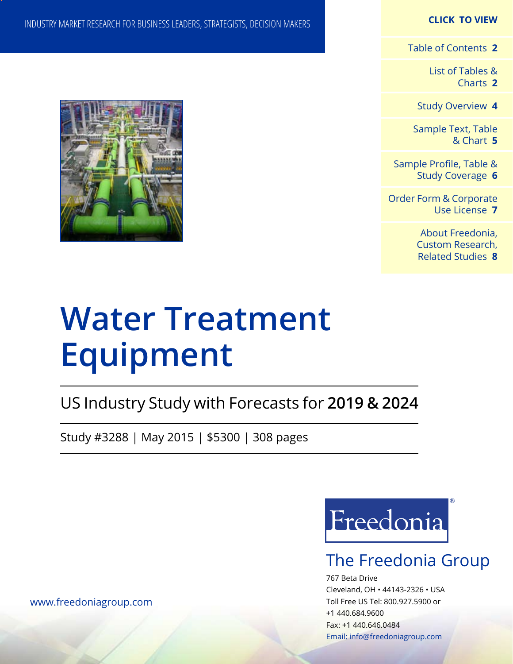### **CLICK TO VIEW**

[Table of Contents](#page-1-0) **2**

[List of Tables &](#page-2-0) [Charts](#page-2-0) **2**

[Study Overview](#page-3-0) **4**

[Sample Text, Table](#page-4-0) [& Chart](#page-4-0) **5**

[Sample Profile, Table &](#page-5-0) [Study Coverage](#page-5-0) **6**

[Order Form & Corporate](#page-6-0) [Use License](#page-6-0) **7**

> [About Freedonia,](#page-7-0) [Custom Research,](#page-7-0)  [Related Studies](#page-7-0) **8**

## INDUSTRY MARKET RESEARCH FOR BUSINESS LEADERS, STRATEGISTS, DECISION MAKERS



# **Water Treatment Equipment**

US Industry Study with Forecasts for **2019 & 2024**

Study #3288 | May 2015 | \$5300 | 308 pages



## The Freedonia Group

767 Beta Drive Cleveland, OH • 44143-2326 • USA Toll Free US Tel: 800.927.5900 or +1 440.684.9600 Fax: +1 440.646.0484 Email: [info@freedoniagroup.com](mailto:info@freedoniagroup.com)

[www.freedoniagroup.com](http://www.freedoniagroup.com/Home.aspx?ReferrerId=FM-Bro)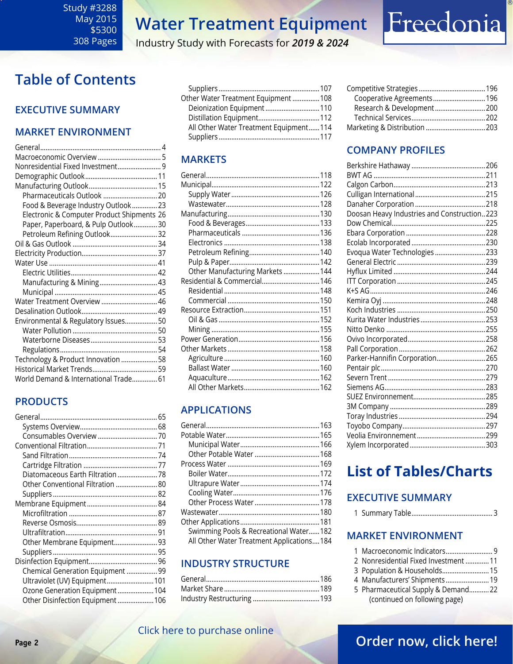# Freedonia

Industry Study with Forecasts for *2019 & 2024*

## <span id="page-1-0"></span>**Table of Contents**

### **Executive Summary**

### **Market EnvironmenT**

| Nonresidential Fixed Investment 9          |
|--------------------------------------------|
|                                            |
|                                            |
|                                            |
| Food & Beverage Industry Outlook  23       |
| Electronic & Computer Product Shipments 26 |
| Paper, Paperboard, & Pulp Outlook30        |
| Petroleum Refining Outlook 32              |
|                                            |
|                                            |
|                                            |
|                                            |
| Manufacturing & Mining 43                  |
|                                            |
| Water Treatment Overview  46               |
|                                            |
| Environmental & Regulatory Issues 50       |
|                                            |
|                                            |
|                                            |
| Technology & Product Innovation  58        |
|                                            |
| World Demand & International Trade 61      |

### **PRODUCTS**

| Diatomaceous Earth Filtration 78  |  |
|-----------------------------------|--|
| Other Conventional Filtration  80 |  |
|                                   |  |
|                                   |  |
|                                   |  |
|                                   |  |
|                                   |  |
| Other Membrane Equipment 93       |  |
|                                   |  |
|                                   |  |
| Chemical Generation Equipment  99 |  |
| Ultraviolet (UV) Equipment 101    |  |
| Ozone Generation Equipment 104    |  |
| Other Disinfection Equipment 106  |  |
|                                   |  |

| Other Water Treatment Equipment  108   |  |
|----------------------------------------|--|
| Deionization Equipment 110             |  |
|                                        |  |
| All Other Water Treatment Equipment114 |  |
|                                        |  |
|                                        |  |

### **MARKETS**

| Other Manufacturing Markets  144 |  |
|----------------------------------|--|
| Residential & Commercial 146     |  |
|                                  |  |
|                                  |  |
|                                  |  |
|                                  |  |
|                                  |  |
|                                  |  |
|                                  |  |
|                                  |  |
|                                  |  |
|                                  |  |
|                                  |  |

### **APPLICATIONS**

| Swimming Pools & Recreational Water182    |  |
|-------------------------------------------|--|
| All Other Water Treatment Applications184 |  |
|                                           |  |

### **INDUSTRY STRUCTURE**

| Cooperative Agreements 196 |  |
|----------------------------|--|
| Research & Development200  |  |
|                            |  |
|                            |  |
|                            |  |

### **Company Profiles**

|  | Doosan Heavy Industries and Construction223 |  |
|--|---------------------------------------------|--|
|  |                                             |  |
|  |                                             |  |
|  |                                             |  |
|  | Evoqua Water Technologies 233               |  |
|  |                                             |  |
|  |                                             |  |
|  |                                             |  |
|  |                                             |  |
|  |                                             |  |
|  |                                             |  |
|  |                                             |  |
|  |                                             |  |
|  |                                             |  |
|  |                                             |  |
|  | Parker-Hannifin Corporation265              |  |
|  |                                             |  |
|  |                                             |  |
|  |                                             |  |
|  |                                             |  |
|  |                                             |  |
|  |                                             |  |
|  |                                             |  |
|  |                                             |  |
|  |                                             |  |

## **List of Tables/Charts**

### **Executive Summary**

|--|--|--|--|

### **Market EnvironmenT**

- 1 Macroeconomic Indicators.......................... 9
- 2 Nonresidential Fixed Investment .............11
- 3 Population & Households..........................15
- 4 Manufacturers' Shipments ........................19
- 5 Pharmaceutical Supply & Demand...........22 (continued on following page)

### [Click here to purchase online](http://www.freedoniagroup.com/DocumentDetails.aspx?Referrerid=FM-Bro&StudyID=3288)

### **Page 2 CHECK HERE IS A CHECK HERE IS A CHECK CONDUCT OF CHECK CONDUCTS CONDUCTS CONDUCTS CONDUCTS CONDUCTS**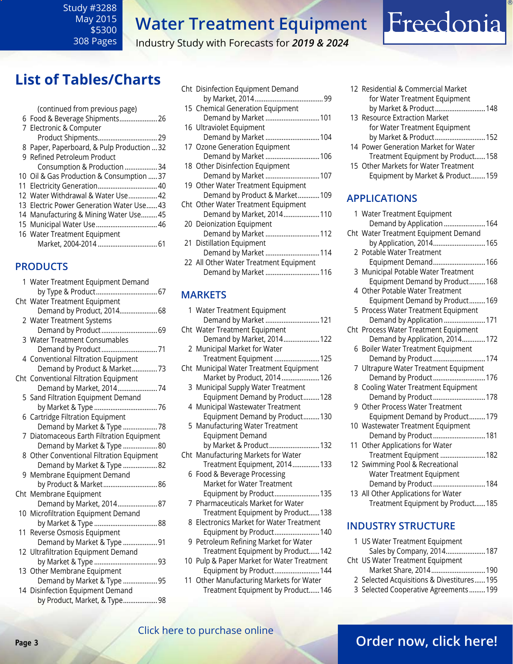### <span id="page-2-0"></span>Study #3288 May 2015 \$5300 308 Pages

## **Water Treatment Equipment**

Industry Study with Forecasts for *2019 & 2024*

## **List of Tables/Charts**

| (continued from previous page)             |
|--------------------------------------------|
| 6 Food & Beverage Shipments 26             |
| 7 Electronic & Computer                    |
| Product Shipments 29                       |
| 8 Paper, Paperboard, & Pulp Production  32 |
| 9 Refined Petroleum Product                |
| Consumption & Production 34                |
| 10 Oil & Gas Production & Consumption  37  |
| 11 Electricity Generation 40               |
| 12 Water Withdrawal & Water Use 42         |
| 13 Electric Power Generation Water Use 43  |
| 14 Manufacturing & Mining Water Use 45     |
|                                            |
| 16 Water Treatment Equipment               |
|                                            |

### **PRODUCTS**

| 1 Water Treatment Equipment Demand        |
|-------------------------------------------|
|                                           |
| Cht Water Treatment Equipment             |
| Demand by Product, 2014 68                |
| 2 Water Treatment Systems                 |
| Demand by Product 69                      |
| 3 Water Treatment Consumables             |
|                                           |
| 4 Conventional Filtration Equipment       |
| Demand by Product & Market 73             |
| Cht Conventional Filtration Equipment     |
| Demand by Market, 201474                  |
| 5 Sand Filtration Equipment Demand        |
|                                           |
| 6 Cartridge Filtration Equipment          |
| Demand by Market & Type  78               |
| 7 Diatomaceous Earth Filtration Equipment |
| Demand by Market & Type  80               |
| 8 Other Conventional Filtration Equipment |
| Demand by Market & Type  82               |
| 9 Membrane Equipment Demand               |
| by Product & Market 86                    |
| Cht Membrane Equipment                    |
| Demand by Market, 2014 87                 |
| 10 Microfiltration Equipment Demand       |
|                                           |
| 11 Reverse Osmosis Equipment              |
| Demand by Market & Type  91               |
| 12 Ultrafiltration Equipment Demand       |
|                                           |
| 13 Other Membrane Equipment               |
| Demand by Market & Type  95               |
| 14 Disinfection Equipment Demand          |
| by Product, Market, & Type 98             |

| Cht Disinfection Equipment Demand      |
|----------------------------------------|
|                                        |
| 15 Chemical Generation Equipment       |
| Demand by Market  101                  |
| 16 Ultraviolet Equipment               |
| Demand by Market 104                   |
| 17 Ozone Generation Equipment          |
| Demand by Market  106                  |
| 18 Other Disinfection Equipment        |
| Demand by Market  107                  |
| 19 Other Water Treatment Equipment     |
| Demand by Product & Market109          |
| Cht Other Water Treatment Equipment    |
| Demand by Market, 2014110              |
| 20 Deionization Equipment              |
| Demand by Market 112                   |
| 21 Distillation Equipment              |
| Demand by Market  114                  |
| 22 All Other Water Treatment Equipment |
| Demand by Market  116                  |
|                                        |
|                                        |

### **MARKETS**

| 1 Water Treatment Equipment                |
|--------------------------------------------|
| Demand by Market  121                      |
| Cht Water Treatment Equipment              |
| Demand by Market, 2014122                  |
| 2 Municipal Market for Water               |
| Treatment Equipment  125                   |
| Cht Municipal Water Treatment Equipment    |
| Market by Product, 2014  126               |
| 3 Municipal Supply Water Treatment         |
| Equipment Demand by Product128             |
| 4 Municipal Wastewater Treatment           |
| Equipment Demand by Product130             |
| 5 Manufacturing Water Treatment            |
| <b>Equipment Demand</b>                    |
| by Market & Product 132                    |
| Cht Manufacturing Markets for Water        |
| Treatment Equipment, 2014133               |
| 6 Food & Beverage Processing               |
| Market for Water Treatment                 |
| Equipment by Product 135                   |
| 7 Pharmaceuticals Market for Water         |
| Treatment Equipment by Product138          |
| 8 Electronics Market for Water Treatment   |
| Equipment by Product 140                   |
| 9 Petroleum Refining Market for Water      |
| Treatment Equipment by Product 142         |
| 10 Pulp & Paper Market for Water Treatment |
| Equipment by Product 144                   |
| 11 Other Manufacturing Markets for Water   |
| Treatment Equipment by Product 146         |

| 12 Residential & Commercial Market |  |
|------------------------------------|--|
| for Water Treatment Equipment      |  |
| by Market & Product 148            |  |
| 13 Resource Extraction Market      |  |

Freedonia

- for Water Treatment Equipment by Market & Product............................152
- 14 Power Generation Market for Water Treatment Equipment by Product......158
- 15 Other Markets for Water Treatment Equipment by Market & Product........159

### **APPLICATIONS**

| 1 Water Treatment Equipment           |
|---------------------------------------|
| Demand by Application  164            |
| Cht Water Treatment Equipment Demand  |
| by Application, 2014 165              |
| 2 Potable Water Treatment             |
| Equipment Demand 166                  |
| 3 Municipal Potable Water Treatment   |
| Equipment Demand by Product 168       |
| 4 Other Potable Water Treatment       |
| Equipment Demand by Product169        |
| 5 Process Water Treatment Equipment   |
| Demand by Application  171            |
| Cht Process Water Treatment Equipment |
| Demand by Application, 2014172        |
| 6 Boiler Water Treatment Equipment    |
| Demand by Product 174                 |
| 7 Ultrapure Water Treatment Equipment |
| Demand by Product 176                 |
| 8 Cooling Water Treatment Equipment   |
| Demand by Product178                  |
| 9 Other Process Water Treatment       |
| Equipment Demand by Product179        |
| 10 Wastewater Treatment Equipment     |
| Demand by Product 181                 |
| 11 Other Applications for Water       |
| Treatment Equipment  182              |
| 12 Swimming Pool & Recreational       |
| Water Treatment Equipment             |
| Demand by Product184                  |
| 13 All Other Applications for Water   |
| Treatment Equipment by Product 185    |

### **INDUSTRY STRUCTURE**

| 1 US Water Treatment Equipment   |                                                                                                                                             |
|----------------------------------|---------------------------------------------------------------------------------------------------------------------------------------------|
|                                  |                                                                                                                                             |
| Cht US Water Treatment Equipment |                                                                                                                                             |
|                                  |                                                                                                                                             |
|                                  |                                                                                                                                             |
|                                  |                                                                                                                                             |
|                                  | Sales by Company, 2014 187<br>Market Share, 2014190<br>2 Selected Acquisitions & Divestitures 195<br>3 Selected Cooperative Agreements  199 |

### [Click here to purchase online](http://www.freedoniagroup.com/DocumentDetails.aspx?Referrerid=FM-Bro&StudyID=3288)

### **Page 3 CHER HERE IS PARTICLE OF PARTICLE 2 [Order now, click here!](#page-6-0)**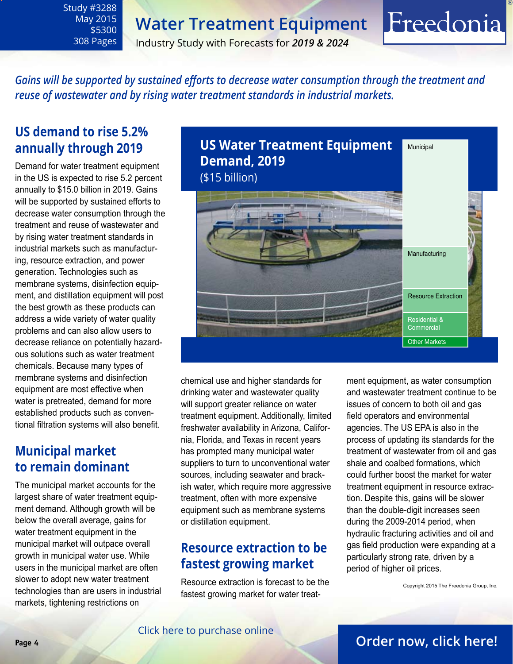May 2015 \$5300 308 Pages

<span id="page-3-0"></span>Study #3288

Industry Study with Forecasts for *2019 & 2024*

*Gains will be supported by sustained efforts to decrease water consumption through the treatment and reuse of wastewater and by rising water treatment standards in industrial markets.* 

### **US demand to rise 5.2% annually through 2019**

Demand for water treatment equipment in the US is expected to rise 5.2 percent annually to \$15.0 billion in 2019. Gains will be supported by sustained efforts to decrease water consumption through the treatment and reuse of wastewater and by rising water treatment standards in industrial markets such as manufacturing, resource extraction, and power generation. Technologies such as membrane systems, disinfection equipment, and distillation equipment will post the best growth as these products can address a wide variety of water quality problems and can also allow users to decrease reliance on potentially hazardous solutions such as water treatment chemicals. Because many types of membrane systems and disinfection equipment are most effective when water is pretreated, demand for more established products such as conventional filtration systems will also benefit.

### **Municipal market to remain dominant**

The municipal market accounts for the largest share of water treatment equipment demand. Although growth will be below the overall average, gains for water treatment equipment in the municipal market will outpace overall growth in municipal water use. While users in the municipal market are often slower to adopt new water treatment technologies than are users in industrial markets, tightening restrictions on



chemical use and higher standards for drinking water and wastewater quality will support greater reliance on water treatment equipment. Additionally, limited freshwater availability in Arizona, California, Florida, and Texas in recent years has prompted many municipal water suppliers to turn to unconventional water sources, including seawater and brackish water, which require more aggressive treatment, often with more expensive equipment such as membrane systems or distillation equipment.

### **Resource extraction to be fastest growing market**

Resource extraction is forecast to be the fastest growing market for water treatment equipment, as water consumption and wastewater treatment continue to be issues of concern to both oil and gas field operators and environmental agencies. The US EPA is also in the process of updating its standards for the treatment of wastewater from oil and gas shale and coalbed formations, which could further boost the market for water treatment equipment in resource extraction. Despite this, gains will be slower than the double-digit increases seen during the 2009-2014 period, when hydraulic fracturing activities and oil and gas field production were expanding at a particularly strong rate, driven by a period of higher oil prices.

Freedonia

Copyright 2015 The Freedonia Group, Inc.

### [Click here to purchase online](http://www.freedoniagroup.com/DocumentDetails.aspx?Referrerid=FM-Bro&StudyID=3288)

### **Page 4 [Order now, click here!](#page-6-0)**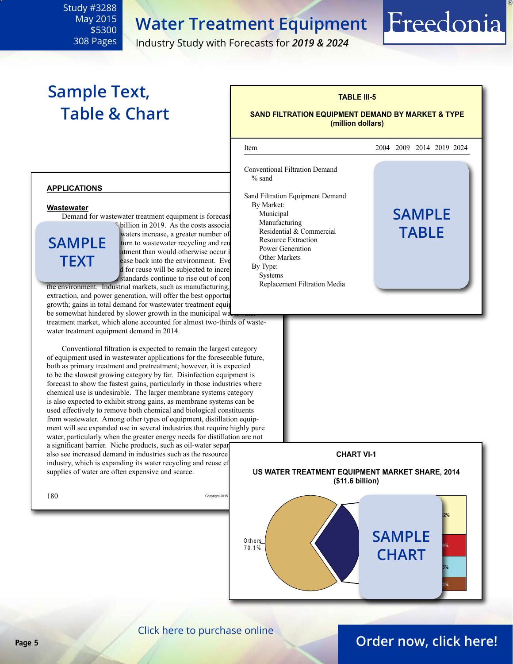May 2015 \$5300 308 Pages

<span id="page-4-0"></span>Study #3288

Industry Study with Forecasts for *2019 & 2024*

## **Sample Text, Table & Chart**

### **TABLE III-5 SAND FILTRATION EQUIPMENT DEMAND BY MARKET & TYPE**

Freedonia

**(million dollars)**



#### **applications**

#### **Wastewater**

Demand for wastewater treatment equipment is forecast Municipal

**sample text**

 $\delta$ billion in 2019. As the costs associated with waters increase, a greater number of turn to wastewater recycling and reus atment than would otherwise occur if ease back into the environment. Eve d for reuse will be subjected to incre standards continue to rise out of con

the environment. Industrial markets, such as manufacturing, extraction, and power generation, will offer the best opportunities growth; gains in total demand for wastewater treatment equip be somewhat hindered by slower growth in the municipal was

treatment market, which alone accounted for almost two-thirds of wastewater treatment equipment demand in 2014.

Conventional filtration is expected to remain the largest category of equipment used in wastewater applications for the foreseeable future, both as primary treatment and pretreatment; however, it is expected to be the slowest growing category by far. Disinfection equipment is forecast to show the fastest gains, particularly in those industries where chemical use is undesirable. The larger membrane systems category is also expected to exhibit strong gains, as membrane systems can be used effectively to remove both chemical and biological constituents from wastewater. Among other types of equipment, distillation equipment will see expanded use in several industries that require highly pure water, particularly when the greater energy needs for distillation are not a significant barrier. Niche products, such as oil-water separation also see increased demand in industries such as the resource industry, which is expanding its water recycling and reuse ef

supplies of water are often expensive and scarce.



[Click here to purchase online](http://www.freedoniagroup.com/DocumentDetails.aspx?Referrerid=FM-Bro&StudyID=3288)

### **Page 5 [Order now, click here!](#page-6-0)**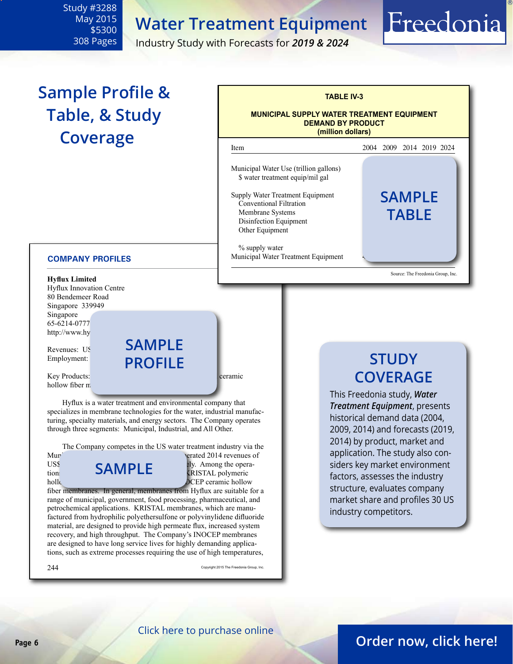<span id="page-5-0"></span>Study #3288 May 2015 \$5300 308 Pages

Industry Study with Forecasts for *2019 & 2024*

## **Sample Profile & Table, & Study Coverage**



#### **COMPANY PROFILES**

Revenues: US Employment:

Key Products: polymeric holds fiber until the polymeric holds for the extensive ceramic hollow fiber  $m$ 

Hyflux is a water treatment and environmental company that specializes in membrane technologies for the water, industrial manufacturing, specialty materials, and energy sectors. The Company operates through three segments: Municipal, Industrial, and All Other.

**sample**

**profile**

 The Company competes in the US water treatment industry via the

**sample**

Mun<sup>ic</sup>ipal and Industrial segments, which generated 2014 revenues of US\$213 million and US\$37 million, respectively. Among the opera $t$ tions **OHIVIPLE**  $\qquad \qquad \text{RISTAL polymeric}$ hollow fiber until the state of the intervals and INOCEP ceramic hollow

fiber membranes. In general, membranes from Hyflux are suitable for a range of municipal, government, food processing, pharmaceutical, and petrochemical applications. KRISTAL membranes, which are manufactured from hydrophilic polyethersulfone or polyvinylidene difluoride material, are designed to provide high permeate flux, increased system recovery, and high throughput. The Company's INOCEP membranes are designed to have long service lives for highly demanding applications, such as extreme processes requiring the use of high temperatures,

 $244$  Copyright 2015 The Freedonia Group, Inc.

## **STUDY COVERAGE**

Freedonia

This Freedonia study, *Water Treatment Equipment*, presents historical demand data (2004, 2009, 2014) and forecasts (2019, 2014) by product, market and application. The study also considers key market environment factors, assesses the industry structure, evaluates company market share and profiles 30 US industry competitors.

### [Click here to purchase online](http://www.freedoniagroup.com/DocumentDetails.aspx?Referrerid=FM-Bro&StudyID=3288)

### **Page 6 [Order now, click here!](#page-6-0)**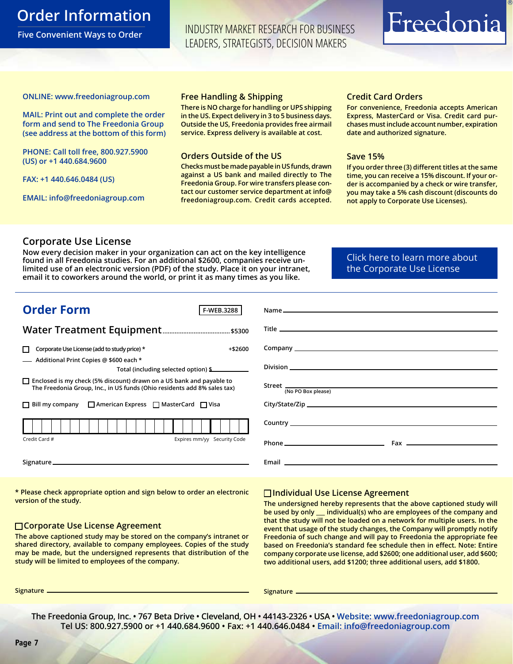### <span id="page-6-0"></span>**Order Information**

**Five Convenient Ways to Order**

INDUSTRY MARKET RESEARCH FOR BUSINESS LEADERS, STRATEGISTS, DECISION MAKERS

# Freedonia

#### **ONLINE: [www.freedoniagroup.com](http://www.freedoniagroup.com/DocumentDetails.aspx?Referrerid=FM-Bro&StudyID=3288)**

**MAIL: Print out and complete the order form and send to The Freedonia Group (see address at the bottom of this form)**

**PHONE: Call toll free, 800.927.5900 (US) or +1 440.684.9600**

**FAX: +1 440.646.0484 (US)**

**EMAIL: [info@freedoniagroup.com](mailto:info@freedoniagroup.com)**

#### **Free Handling & Shipping**

**There is NO charge for handling or UPS shipping in the US. Expect delivery in 3 to 5 business days. Outside the US, Freedonia provides free airmail service. Express delivery is available at cost.**

#### **Orders Outside of the US**

**Checks must be made payable in US funds, drawn against a US bank and mailed directly to The Freedonia Group. For wire transfers please contact our customer service department at info@ freedoniagroup.com. Credit cards accepted.**

### **Credit Card Orders**

**For convenience, Freedonia accepts American Express, MasterCard or Visa. Credit card purchases must include account number, expiration date and authorized signature.**

#### **Save 15%**

**If you order three (3) different titles at the same time, you can receive a 15% discount. If your order is accompanied by a check or wire transfer, you may take a 5% cash discount (discounts do not apply to Corporate Use Licenses).**

### **Corporate Use License**

**Now every decision maker in your organization can act on the key intelligence found in all Freedonia studies. For an additional \$2600, companies receive unlimited use of an electronic version (PDF) of the study. Place it on your intranet, email it to coworkers around the world, or print it as many times as you like.** 

[Click here to learn more about](http://www.freedoniagroup.com/pdf/FreedoniaCULBro.pdf)  [the Corporate Use License](http://www.freedoniagroup.com/pdf/FreedoniaCULBro.pdf)

| <b>Order Form</b><br><b>F-WEB.3288</b>                                                                                                                  |                    |
|---------------------------------------------------------------------------------------------------------------------------------------------------------|--------------------|
|                                                                                                                                                         |                    |
|                                                                                                                                                         |                    |
| Corporate Use License (add to study price) *<br>$+ $2600$                                                                                               |                    |
| - Additional Print Copies @ \$600 each *                                                                                                                |                    |
| Total (including selected option) \$                                                                                                                    |                    |
| $\Box$ Enclosed is my check (5% discount) drawn on a US bank and payable to<br>The Freedonia Group, Inc., in US funds (Ohio residents add 8% sales tax) | (No PO Box please) |
| $\Box$ Bill my company $\Box$ American Express $\Box$ MasterCard $\Box$ Visa                                                                            |                    |
|                                                                                                                                                         |                    |
| Credit Card #<br>Expires mm/yy Security Code                                                                                                            |                    |
|                                                                                                                                                         |                    |

**\* Please check appropriate option and sign below to order an electronic version of the study.**

#### **Corporate Use License Agreement**

**The above captioned study may be stored on the company's intranet or shared directory, available to company employees. Copies of the study may be made, but the undersigned represents that distribution of the study will be limited to employees of the company.**

### **Individual Use License Agreement**

**The undersigned hereby represents that the above captioned study will be used by only \_\_\_ individual(s) who are employees of the company and that the study will not be loaded on a network for multiple users. In the event that usage of the study changes, the Company will promptly notify Freedonia of such change and will pay to Freedonia the appropriate fee based on Freedonia's standard fee schedule then in effect. Note: Entire company corporate use license, add \$2600; one additional user, add \$600; two additional users, add \$1200; three additional users, add \$1800.**

**Signature Signature**

**The Freedonia Group, Inc. • 767 Beta Drive • Cleveland, OH • 44143-2326 • USA • [Website: www.freedoniagroup.com](http://www.freedoniagroup.com/Home.aspx?ReferrerId=FM-Bro) Tel US: 800.927.5900 or +1 440.684.9600 • Fax: +1 440.646.0484 • [Email: info@freedoniagroup.com](mailto:info@freedoniagroup.com)**